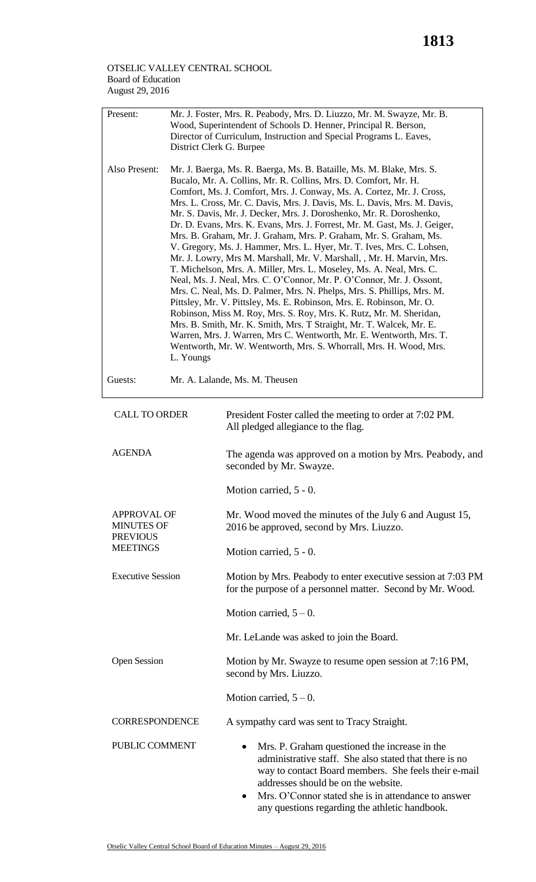## OTSELIC VALLEY CENTRAL SCHOOL Board of Education August 29, 2016

| Present:<br>Also Present:                                              | Mr. J. Foster, Mrs. R. Peabody, Mrs. D. Liuzzo, Mr. M. Swayze, Mr. B.<br>Wood, Superintendent of Schools D. Henner, Principal R. Berson,<br>Director of Curriculum, Instruction and Special Programs L. Eaves,<br>District Clerk G. Burpee<br>Mr. J. Baerga, Ms. R. Baerga, Ms. B. Bataille, Ms. M. Blake, Mrs. S.<br>Bucalo, Mr. A. Collins, Mr. R. Collins, Mrs. D. Comfort, Mr. H.<br>Comfort, Ms. J. Comfort, Mrs. J. Conway, Ms. A. Cortez, Mr. J. Cross,<br>Mrs. L. Cross, Mr. C. Davis, Mrs. J. Davis, Ms. L. Davis, Mrs. M. Davis,<br>Mr. S. Davis, Mr. J. Decker, Mrs. J. Doroshenko, Mr. R. Doroshenko,<br>Dr. D. Evans, Mrs. K. Evans, Mrs. J. Forrest, Mr. M. Gast, Ms. J. Geiger,<br>Mrs. B. Graham, Mr. J. Graham, Mrs. P. Graham, Mr. S. Graham, Ms.<br>V. Gregory, Ms. J. Hammer, Mrs. L. Hyer, Mr. T. Ives, Mrs. C. Lohsen,<br>Mr. J. Lowry, Mrs M. Marshall, Mr. V. Marshall, , Mr. H. Marvin, Mrs.<br>T. Michelson, Mrs. A. Miller, Mrs. L. Moseley, Ms. A. Neal, Mrs. C.<br>Neal, Ms. J. Neal, Mrs. C. O'Connor, Mr. P. O'Connor, Mr. J. Ossont,<br>Mrs. C. Neal, Ms. D. Palmer, Mrs. N. Phelps, Mrs. S. Phillips, Mrs. M.<br>Pittsley, Mr. V. Pittsley, Ms. E. Robinson, Mrs. E. Robinson, Mr. O.<br>Robinson, Miss M. Roy, Mrs. S. Roy, Mrs. K. Rutz, Mr. M. Sheridan,<br>Mrs. B. Smith, Mr. K. Smith, Mrs. T Straight, Mr. T. Walcek, Mr. E.<br>Warren, Mrs. J. Warren, Mrs C. Wentworth, Mr. E. Wentworth, Mrs. T.<br>Wentworth, Mr. W. Wentworth, Mrs. S. Whorrall, Mrs. H. Wood, Mrs.<br>L. Youngs |                                                                                                                                                                                                                                                                                                                 |  |
|------------------------------------------------------------------------|------------------------------------------------------------------------------------------------------------------------------------------------------------------------------------------------------------------------------------------------------------------------------------------------------------------------------------------------------------------------------------------------------------------------------------------------------------------------------------------------------------------------------------------------------------------------------------------------------------------------------------------------------------------------------------------------------------------------------------------------------------------------------------------------------------------------------------------------------------------------------------------------------------------------------------------------------------------------------------------------------------------------------------------------------------------------------------------------------------------------------------------------------------------------------------------------------------------------------------------------------------------------------------------------------------------------------------------------------------------------------------------------------------------------------------------------------------------------------------------------------------------------------|-----------------------------------------------------------------------------------------------------------------------------------------------------------------------------------------------------------------------------------------------------------------------------------------------------------------|--|
| Guests:                                                                | Mr. A. Lalande, Ms. M. Theusen                                                                                                                                                                                                                                                                                                                                                                                                                                                                                                                                                                                                                                                                                                                                                                                                                                                                                                                                                                                                                                                                                                                                                                                                                                                                                                                                                                                                                                                                                               |                                                                                                                                                                                                                                                                                                                 |  |
| <b>CALL TO ORDER</b>                                                   |                                                                                                                                                                                                                                                                                                                                                                                                                                                                                                                                                                                                                                                                                                                                                                                                                                                                                                                                                                                                                                                                                                                                                                                                                                                                                                                                                                                                                                                                                                                              | President Foster called the meeting to order at 7:02 PM.<br>All pledged allegiance to the flag.                                                                                                                                                                                                                 |  |
| <b>AGENDA</b>                                                          |                                                                                                                                                                                                                                                                                                                                                                                                                                                                                                                                                                                                                                                                                                                                                                                                                                                                                                                                                                                                                                                                                                                                                                                                                                                                                                                                                                                                                                                                                                                              | The agenda was approved on a motion by Mrs. Peabody, and<br>seconded by Mr. Swayze.                                                                                                                                                                                                                             |  |
|                                                                        |                                                                                                                                                                                                                                                                                                                                                                                                                                                                                                                                                                                                                                                                                                                                                                                                                                                                                                                                                                                                                                                                                                                                                                                                                                                                                                                                                                                                                                                                                                                              | Motion carried, 5 - 0.                                                                                                                                                                                                                                                                                          |  |
| APPROVAL OF<br><b>MINUTES OF</b><br><b>PREVIOUS</b><br><b>MEETINGS</b> |                                                                                                                                                                                                                                                                                                                                                                                                                                                                                                                                                                                                                                                                                                                                                                                                                                                                                                                                                                                                                                                                                                                                                                                                                                                                                                                                                                                                                                                                                                                              | Mr. Wood moved the minutes of the July 6 and August 15,<br>2016 be approved, second by Mrs. Liuzzo.                                                                                                                                                                                                             |  |
|                                                                        |                                                                                                                                                                                                                                                                                                                                                                                                                                                                                                                                                                                                                                                                                                                                                                                                                                                                                                                                                                                                                                                                                                                                                                                                                                                                                                                                                                                                                                                                                                                              | Motion carried, 5 - 0.                                                                                                                                                                                                                                                                                          |  |
| <b>Executive Session</b>                                               |                                                                                                                                                                                                                                                                                                                                                                                                                                                                                                                                                                                                                                                                                                                                                                                                                                                                                                                                                                                                                                                                                                                                                                                                                                                                                                                                                                                                                                                                                                                              | Motion by Mrs. Peabody to enter executive session at 7:03 PM<br>for the purpose of a personnel matter. Second by Mr. Wood.                                                                                                                                                                                      |  |
|                                                                        |                                                                                                                                                                                                                                                                                                                                                                                                                                                                                                                                                                                                                                                                                                                                                                                                                                                                                                                                                                                                                                                                                                                                                                                                                                                                                                                                                                                                                                                                                                                              | Motion carried, $5-0$ .                                                                                                                                                                                                                                                                                         |  |
|                                                                        |                                                                                                                                                                                                                                                                                                                                                                                                                                                                                                                                                                                                                                                                                                                                                                                                                                                                                                                                                                                                                                                                                                                                                                                                                                                                                                                                                                                                                                                                                                                              | Mr. LeLande was asked to join the Board.                                                                                                                                                                                                                                                                        |  |
| <b>Open Session</b>                                                    |                                                                                                                                                                                                                                                                                                                                                                                                                                                                                                                                                                                                                                                                                                                                                                                                                                                                                                                                                                                                                                                                                                                                                                                                                                                                                                                                                                                                                                                                                                                              | Motion by Mr. Swayze to resume open session at 7:16 PM,<br>second by Mrs. Liuzzo.                                                                                                                                                                                                                               |  |
|                                                                        |                                                                                                                                                                                                                                                                                                                                                                                                                                                                                                                                                                                                                                                                                                                                                                                                                                                                                                                                                                                                                                                                                                                                                                                                                                                                                                                                                                                                                                                                                                                              | Motion carried, $5-0$ .                                                                                                                                                                                                                                                                                         |  |
| <b>CORRESPONDENCE</b>                                                  |                                                                                                                                                                                                                                                                                                                                                                                                                                                                                                                                                                                                                                                                                                                                                                                                                                                                                                                                                                                                                                                                                                                                                                                                                                                                                                                                                                                                                                                                                                                              | A sympathy card was sent to Tracy Straight.                                                                                                                                                                                                                                                                     |  |
| PUBLIC COMMENT                                                         |                                                                                                                                                                                                                                                                                                                                                                                                                                                                                                                                                                                                                                                                                                                                                                                                                                                                                                                                                                                                                                                                                                                                                                                                                                                                                                                                                                                                                                                                                                                              | Mrs. P. Graham questioned the increase in the<br>administrative staff. She also stated that there is no<br>way to contact Board members. She feels their e-mail<br>addresses should be on the website.<br>Mrs. O'Connor stated she is in attendance to answer<br>any questions regarding the athletic handbook. |  |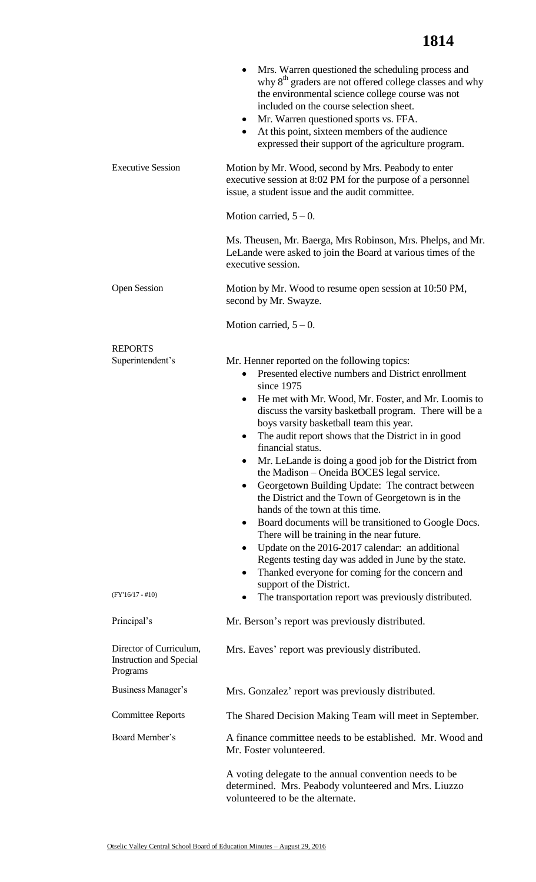|                                                                       | Mrs. Warren questioned the scheduling process and<br>$\bullet$<br>why 8 <sup>th</sup> graders are not offered college classes and why<br>the environmental science college course was not<br>included on the course selection sheet.<br>• Mr. Warren questioned sports vs. FFA.<br>At this point, sixteen members of the audience<br>$\bullet$<br>expressed their support of the agriculture program.                                                                                                                                                                                                                                                                                                                                                                                                                                                                                                                                     |  |  |
|-----------------------------------------------------------------------|-------------------------------------------------------------------------------------------------------------------------------------------------------------------------------------------------------------------------------------------------------------------------------------------------------------------------------------------------------------------------------------------------------------------------------------------------------------------------------------------------------------------------------------------------------------------------------------------------------------------------------------------------------------------------------------------------------------------------------------------------------------------------------------------------------------------------------------------------------------------------------------------------------------------------------------------|--|--|
| <b>Executive Session</b>                                              | Motion by Mr. Wood, second by Mrs. Peabody to enter<br>executive session at 8:02 PM for the purpose of a personnel<br>issue, a student issue and the audit committee.                                                                                                                                                                                                                                                                                                                                                                                                                                                                                                                                                                                                                                                                                                                                                                     |  |  |
|                                                                       | Motion carried, $5 - 0$ .                                                                                                                                                                                                                                                                                                                                                                                                                                                                                                                                                                                                                                                                                                                                                                                                                                                                                                                 |  |  |
|                                                                       | Ms. Theusen, Mr. Baerga, Mrs Robinson, Mrs. Phelps, and Mr.<br>LeLande were asked to join the Board at various times of the<br>executive session.                                                                                                                                                                                                                                                                                                                                                                                                                                                                                                                                                                                                                                                                                                                                                                                         |  |  |
| <b>Open Session</b>                                                   | Motion by Mr. Wood to resume open session at 10:50 PM,<br>second by Mr. Swayze.                                                                                                                                                                                                                                                                                                                                                                                                                                                                                                                                                                                                                                                                                                                                                                                                                                                           |  |  |
|                                                                       | Motion carried, $5-0$ .                                                                                                                                                                                                                                                                                                                                                                                                                                                                                                                                                                                                                                                                                                                                                                                                                                                                                                                   |  |  |
| <b>REPORTS</b><br>Superintendent's                                    | Mr. Henner reported on the following topics:<br>Presented elective numbers and District enrollment<br>since 1975<br>He met with Mr. Wood, Mr. Foster, and Mr. Loomis to<br>٠<br>discuss the varsity basketball program. There will be a<br>boys varsity basketball team this year.<br>The audit report shows that the District in in good<br>financial status.<br>Mr. LeLande is doing a good job for the District from<br>the Madison – Oneida BOCES legal service.<br>Georgetown Building Update: The contract between<br>$\bullet$<br>the District and the Town of Georgetown is in the<br>hands of the town at this time.<br>Board documents will be transitioned to Google Docs.<br>$\bullet$<br>There will be training in the near future.<br>Update on the 2016-2017 calendar: an additional<br>Regents testing day was added in June by the state.<br>Thanked everyone for coming for the concern and<br>support of the District. |  |  |
| $(FY'16/17 - #10)$                                                    | The transportation report was previously distributed.                                                                                                                                                                                                                                                                                                                                                                                                                                                                                                                                                                                                                                                                                                                                                                                                                                                                                     |  |  |
| Principal's                                                           | Mr. Berson's report was previously distributed.                                                                                                                                                                                                                                                                                                                                                                                                                                                                                                                                                                                                                                                                                                                                                                                                                                                                                           |  |  |
| Director of Curriculum,<br><b>Instruction and Special</b><br>Programs | Mrs. Eaves' report was previously distributed.                                                                                                                                                                                                                                                                                                                                                                                                                                                                                                                                                                                                                                                                                                                                                                                                                                                                                            |  |  |
| Business Manager's                                                    | Mrs. Gonzalez' report was previously distributed.                                                                                                                                                                                                                                                                                                                                                                                                                                                                                                                                                                                                                                                                                                                                                                                                                                                                                         |  |  |
| <b>Committee Reports</b>                                              | The Shared Decision Making Team will meet in September.                                                                                                                                                                                                                                                                                                                                                                                                                                                                                                                                                                                                                                                                                                                                                                                                                                                                                   |  |  |
| Board Member's                                                        | A finance committee needs to be established. Mr. Wood and<br>Mr. Foster volunteered.                                                                                                                                                                                                                                                                                                                                                                                                                                                                                                                                                                                                                                                                                                                                                                                                                                                      |  |  |
|                                                                       | A voting delegate to the annual convention needs to be<br>determined. Mrs. Peabody volunteered and Mrs. Liuzzo<br>volunteered to be the alternate.                                                                                                                                                                                                                                                                                                                                                                                                                                                                                                                                                                                                                                                                                                                                                                                        |  |  |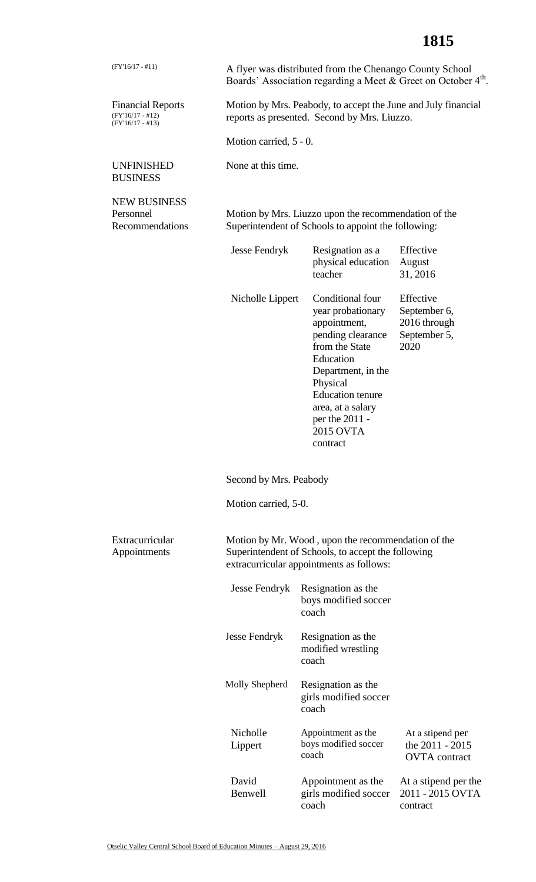## **1815**

| $(FY'16/17 - #11)$                                                   | A flyer was distributed from the Chenango County School<br>Boards' Association regarding a Meet & Greet on October 4 <sup>th</sup> .                 |                                                                                                                                                                                                                                        |                                                                   |  |  |
|----------------------------------------------------------------------|------------------------------------------------------------------------------------------------------------------------------------------------------|----------------------------------------------------------------------------------------------------------------------------------------------------------------------------------------------------------------------------------------|-------------------------------------------------------------------|--|--|
| <b>Financial Reports</b><br>$(FY'16/17 - #12)$<br>$(FY'16/17 - #13)$ | Motion by Mrs. Peabody, to accept the June and July financial<br>reports as presented. Second by Mrs. Liuzzo.                                        |                                                                                                                                                                                                                                        |                                                                   |  |  |
|                                                                      | Motion carried, 5 - 0.                                                                                                                               |                                                                                                                                                                                                                                        |                                                                   |  |  |
| <b>UNFINISHED</b><br><b>BUSINESS</b>                                 | None at this time.                                                                                                                                   |                                                                                                                                                                                                                                        |                                                                   |  |  |
| <b>NEW BUSINESS</b><br>Personnel<br>Recommendations                  | Motion by Mrs. Liuzzo upon the recommendation of the<br>Superintendent of Schools to appoint the following:                                          |                                                                                                                                                                                                                                        |                                                                   |  |  |
|                                                                      | <b>Jesse Fendryk</b>                                                                                                                                 | Resignation as a<br>physical education<br>teacher                                                                                                                                                                                      | Effective<br>August<br>31, 2016                                   |  |  |
|                                                                      | Nicholle Lippert                                                                                                                                     | Conditional four<br>year probationary<br>appointment,<br>pending clearance<br>from the State<br>Education<br>Department, in the<br>Physical<br><b>Education</b> tenure<br>area, at a salary<br>per the 2011 -<br>2015 OVTA<br>contract | Effective<br>September 6,<br>2016 through<br>September 5,<br>2020 |  |  |
|                                                                      | Second by Mrs. Peabody                                                                                                                               |                                                                                                                                                                                                                                        |                                                                   |  |  |
|                                                                      | Motion carried, 5-0.                                                                                                                                 |                                                                                                                                                                                                                                        |                                                                   |  |  |
| Extracurricular<br>Appointments                                      | Motion by Mr. Wood, upon the recommendation of the<br>Superintendent of Schools, to accept the following<br>extracurricular appointments as follows: |                                                                                                                                                                                                                                        |                                                                   |  |  |
|                                                                      | Jesse Fendryk                                                                                                                                        | Resignation as the<br>boys modified soccer<br>coach                                                                                                                                                                                    |                                                                   |  |  |
|                                                                      | <b>Jesse Fendryk</b>                                                                                                                                 | Resignation as the<br>modified wrestling<br>coach                                                                                                                                                                                      |                                                                   |  |  |
|                                                                      | Molly Shepherd                                                                                                                                       | Resignation as the<br>girls modified soccer<br>coach                                                                                                                                                                                   |                                                                   |  |  |
|                                                                      | Nicholle<br>Lippert                                                                                                                                  | Appointment as the<br>boys modified soccer<br>coach                                                                                                                                                                                    | At a stipend per<br>the 2011 - 2015<br><b>OVTA</b> contract       |  |  |
|                                                                      | David<br>Benwell                                                                                                                                     | Appointment as the<br>girls modified soccer<br>coach                                                                                                                                                                                   | At a stipend per the<br>2011 - 2015 OVTA<br>contract              |  |  |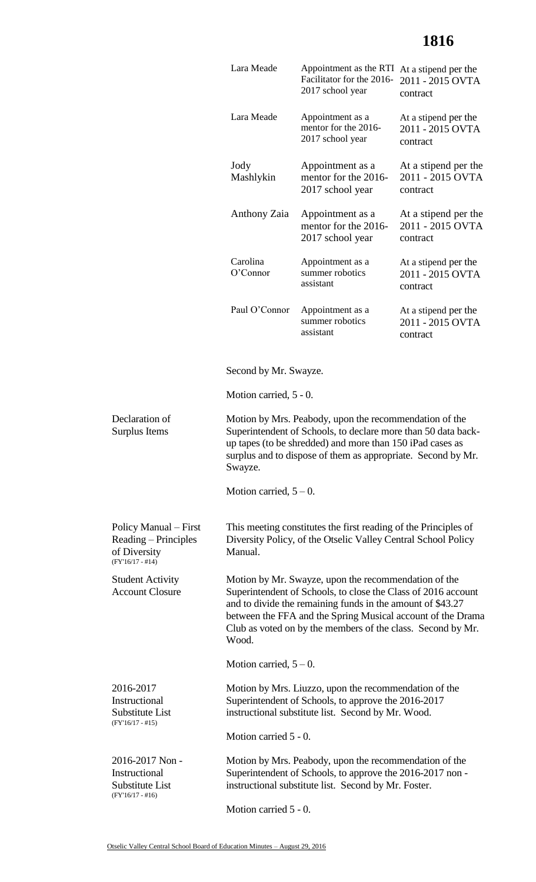## **1816**

|                                                                                     | Lara Meade                                                                                                                                                                                                                                                                                                                 | Appointment as the RTI At a stipend per the<br>Facilitator for the 2016-<br>2017 school year | 2011 - 2015 OVTA<br>contract                         |  |
|-------------------------------------------------------------------------------------|----------------------------------------------------------------------------------------------------------------------------------------------------------------------------------------------------------------------------------------------------------------------------------------------------------------------------|----------------------------------------------------------------------------------------------|------------------------------------------------------|--|
|                                                                                     | Lara Meade                                                                                                                                                                                                                                                                                                                 | Appointment as a<br>mentor for the 2016-<br>2017 school year                                 | At a stipend per the<br>2011 - 2015 OVTA<br>contract |  |
|                                                                                     | Jody<br>Mashlykin                                                                                                                                                                                                                                                                                                          | Appointment as a<br>mentor for the 2016-<br>2017 school year                                 | At a stipend per the<br>2011 - 2015 OVTA<br>contract |  |
|                                                                                     | Anthony Zaia                                                                                                                                                                                                                                                                                                               | Appointment as a<br>mentor for the 2016-<br>2017 school year                                 | At a stipend per the<br>2011 - 2015 OVTA<br>contract |  |
|                                                                                     | Carolina<br>O'Connor                                                                                                                                                                                                                                                                                                       | Appointment as a<br>summer robotics<br>assistant                                             | At a stipend per the<br>2011 - 2015 OVTA<br>contract |  |
|                                                                                     | Paul O'Connor                                                                                                                                                                                                                                                                                                              | Appointment as a<br>summer robotics<br>assistant                                             | At a stipend per the<br>2011 - 2015 OVTA<br>contract |  |
|                                                                                     | Second by Mr. Swayze.                                                                                                                                                                                                                                                                                                      |                                                                                              |                                                      |  |
|                                                                                     | Motion carried, 5 - 0.                                                                                                                                                                                                                                                                                                     |                                                                                              |                                                      |  |
| Declaration of<br>Surplus Items                                                     | Motion by Mrs. Peabody, upon the recommendation of the<br>Superintendent of Schools, to declare more than 50 data back-<br>up tapes (to be shredded) and more than 150 iPad cases as<br>surplus and to dispose of them as appropriate. Second by Mr.<br>Swayze.                                                            |                                                                                              |                                                      |  |
|                                                                                     | Motion carried, $5-0$ .                                                                                                                                                                                                                                                                                                    |                                                                                              |                                                      |  |
| Policy Manual – First<br>Reading – Principles<br>of Diversity<br>$(FY'16/17 - #14)$ | This meeting constitutes the first reading of the Principles of<br>Diversity Policy, of the Otselic Valley Central School Policy<br>Manual.                                                                                                                                                                                |                                                                                              |                                                      |  |
| <b>Student Activity</b><br><b>Account Closure</b>                                   | Motion by Mr. Swayze, upon the recommendation of the<br>Superintendent of Schools, to close the Class of 2016 account<br>and to divide the remaining funds in the amount of \$43.27<br>between the FFA and the Spring Musical account of the Drama<br>Club as voted on by the members of the class. Second by Mr.<br>Wood. |                                                                                              |                                                      |  |
|                                                                                     | Motion carried, $5-0$ .                                                                                                                                                                                                                                                                                                    |                                                                                              |                                                      |  |
| 2016-2017<br>Instructional<br>Substitute List<br>$(FY'16/17 - #15)$                 | Motion by Mrs. Liuzzo, upon the recommendation of the<br>Superintendent of Schools, to approve the 2016-2017<br>instructional substitute list. Second by Mr. Wood.                                                                                                                                                         |                                                                                              |                                                      |  |
|                                                                                     | Motion carried 5 - 0.                                                                                                                                                                                                                                                                                                      |                                                                                              |                                                      |  |
| 2016-2017 Non -<br>Instructional<br>Substitute List<br>$(FY'16/17 - #16)$           | Motion by Mrs. Peabody, upon the recommendation of the<br>Superintendent of Schools, to approve the 2016-2017 non-<br>instructional substitute list. Second by Mr. Foster.                                                                                                                                                 |                                                                                              |                                                      |  |
|                                                                                     | Motion carried 5 - 0.                                                                                                                                                                                                                                                                                                      |                                                                                              |                                                      |  |